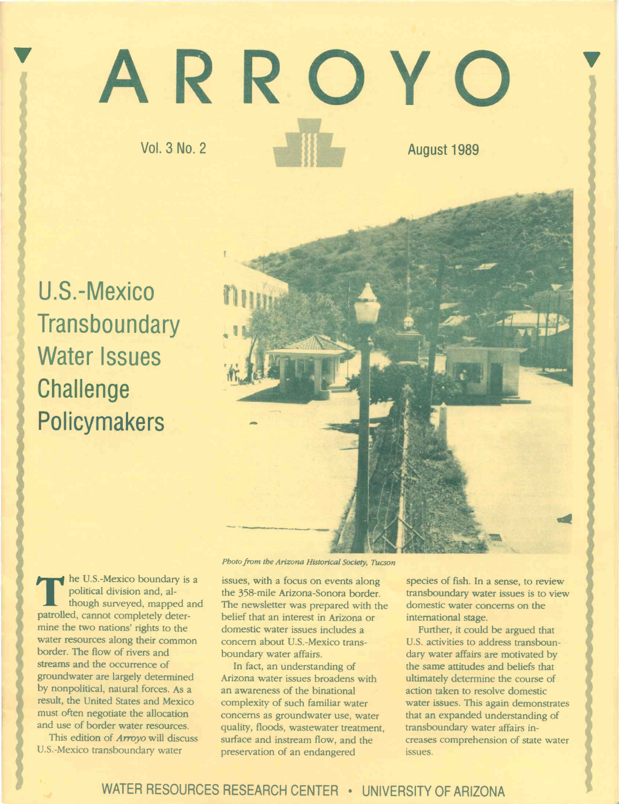# ARROY

Vol. 3 No. 2

August 1989

U.S.-Mexico **Transboundary** Water Issues **Challenge** Policymakers



political division and, al-<br>though surveyed, mapped a  $\blacktriangleleft$  he U.S.-Mexico boundary is a though surveyed, mapped and patrolled, cannot completely determine the two nations' rights to the water resources along their common border. The flow of rivers and streams and the occurrence of groundwater are largely determined by nonpolitical, natural forces. As a result, the United States and Mexico must often negotiate the allocation and use of border water resources.

This edition of Arroyo will discuss U.S-Mexico transboundary water

Photo from the Arizona Historical Society, Tucson

issues, with a focus on events along the 358-mile Arizona-Sonora border. The newsletter was prepared with the belief that an interest in Arizona or domestic water issues includes a concern about U.S.-Mexico transboundary water affairs.

In fact, an understanding of Arizona water issues broadens with an awareness of the binational complexity of such familiar water concerns as groundwater use, water quality, floods, wastewater treatment, surface and instream flow, and the preservation of an endangered

species of fish. In a sense, to review transboundary water issues is to view domestic water concerns on the international stage.

Further, it could be argued that U.S. activities to address transboundary water affairs are motivated by the same attitudes and beliefs that ultimately determine the course of action taken to resolve domestic water issues. This again demonstrates that an expanded understanding of transboundary water affairs increases comprehension of state water issues.

# WATER RESOURCES RESEARCH CENTER · UNIVERSITY OF ARIZONA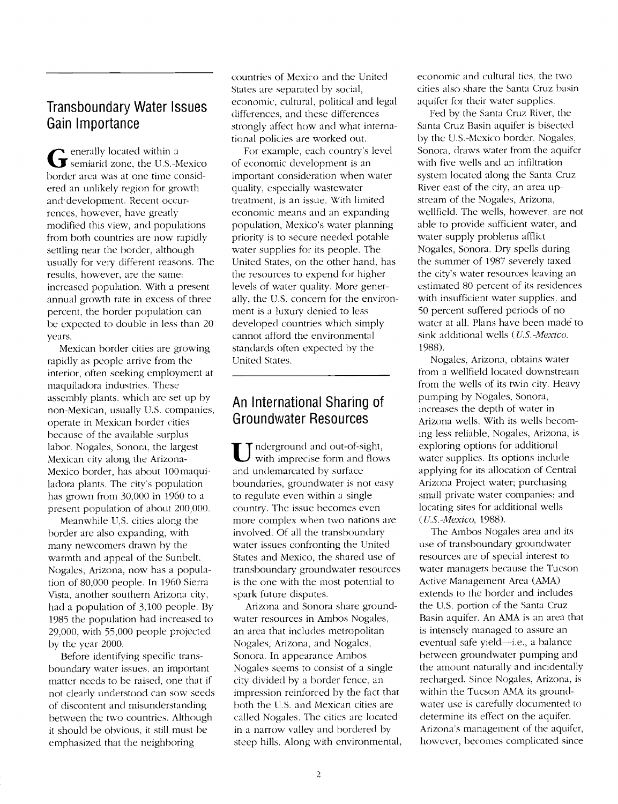# Transboundary Water Issues Gain Importance

General Semiarid zone, the U.S.-Mexico of eco enerally located within a border area was at one time considered an unlikely region for growth and development. Recent occurrences, however, have greatly modified this view, and populations from both countries are now rapidly settling near the border, although usually for very different reasons. The results, however, are the same: increased population. With a present annual growth rate in excess of three percent, the border population can be expected to double in less than 20 years.

Mexican border cities are growing rapidly as people arrive from the interior, often seeking employment at maquiladora industries. These assembly plants, which are set up by non-Mexican, usually U.S. companies, operate in Mexican border cities because of the available surplus labor. Nogales, Sonora, the largest Mexican city along the Arizona-Mexico border, has about 100 maquiladora plants. The city's population has grown from 30,000 in 1960 to a present population of about 200,000,

Meanwhile U,S. cities along the border are also expanding, with many newcomers drawn by the warmth and appeal of the Sunbelt. Nogales, Arizona, now has a population of 80,000 people. In 1960 Sierra Vista, another southern Arizona city, had a population of 3,100 people. By 1985 the population had increased to 29,000, with 55,000 people projected by the year 2000.

Before identifying specific transboundary water issues, an important matter needs to be raised, one that if not clearly understood can sow seeds of discontent and misunderstanding between the two countries. Although it should be obvious, it still must be emphasized that the neighboring

countries of Mexico and the United States are separated by social, economic, cultural, political and legal differences, and these differences strongly affect how and what international policies are worked out.

For example, each country's level of economic development is an important consideration when water quality, especially wastewater treatment, is an issue. With limited economic means and an expanding population, Mexico's water planning priority is to secure needed potable water supplies for its people. The United States, on the other hand, has the resources to expend for higher levels of water quality. More generally, the U.S. concern for the environment is a luxuiy denied to less developed countries which simply cannot afford the environmental standards often expected by the United States.

# An International Sharing of Groundwater Resources

 $\bigcup$  with imprecise form and flows  $\qquad$  was T nderground and out-of-sight, and undemarcated by surface boundaries, groundwater is not easy to regulate even within a single country. The issue becomes even more complex when two nations are involved, Of all the transboundary water issues confronting the United States and Mexico, the shared use of transboundary groundwater resources is the one with the most potential to spark future disputes.

Arizona and Sonora share groundwater resources in Ambos Nogales, an area that includes metropolitan Nogales, Arizona, and Nogales, Sonora. In appearance Ambos Nogales seems to consist of a single city divided by a border fence, an impression reinforced by the fact that both the U.S. and Mexican cities are called Nogales. The cities are located in a narrow valley and bordered by steep hills. Along with environmental, economic and cultural ties. the two cities also share the Santa Cruz basin aquifer for their water supplies.

Fed by the Santa Cruz River, the Santa Cruz Basin aquifer is bisected by the U.S-Mexico border. Nogales, Sonora, draws water from the aquifer with five wells and an infiltration system located along the Santa Cruz River cast of the city, an area upstream of the Nogales, Arizona, wellfield. The wells, however, are not able to provide sufficient water, and water supply problems afflict Nogales, Sonora. Dry spells during the summer of 1987 severely taxed the city's water resources leaving an estimated 80 percent of its residences with insufficient water supplies, and 50 percent suffered periods of no water at all. Plans have been made to sink additional wells (U.S.-Mexico, 1988).

Nogales, Arizona, obtains water from a wellfield located downstream from the wells of its twin city. Heavy pumping by Nogales, Sonora, increases the depth of water in Arizona wells. With its wells becoming less reliable, Nogales, Arizona, is exploring options for additional water supplies. Its options ïnclude applying for its allocation of Central Arizona Project water; purchasing small private water companies; and locating sites for additional wells (U.S. -Mexico, 1988).

The Ambos Nogales area and its use of transboundary groundwater resources are of special interest to water managers because the Tucson Active Management Area (AMA) extends to the border and includes the U.S. portion of the Santa Cruz Basin aquifer. An AMA is an area that is intensely managed to assure an eventual safe yield--i.e., a balance between groundwater pumping and the amount naturally and incidentally recharged. Since Nogales, Arizona, is within the Tucson AMA its groundwater use is carefully documented to determine its effect on the aquifer. Arizona's management of the aquifer, however, becomes complicated since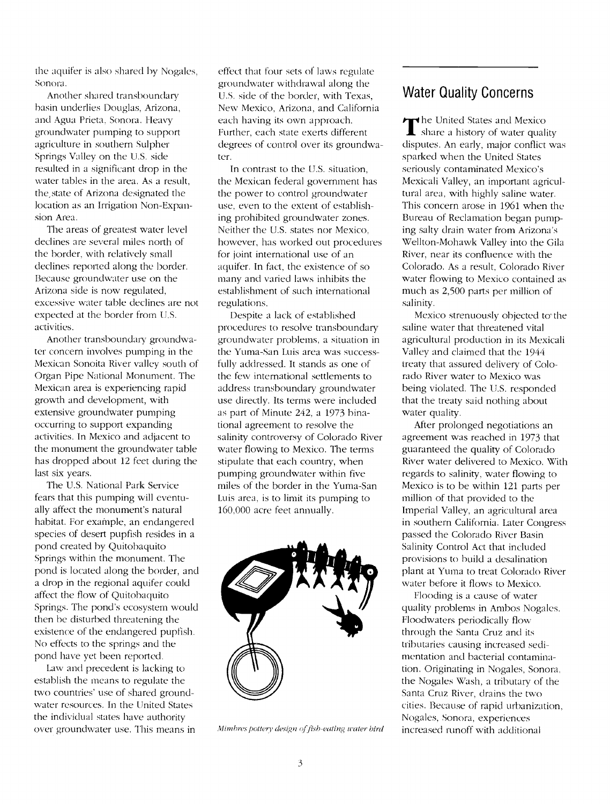the aquifer is also shared by Nogales, Sonora.

Another shared transboundary basin underlies Douglas, Arizona, and Agua Prieta, Sonora. Heavy groundwater pumping to Support agriculture in southern Sulpher Springs Valley on the U.S. side resulted in a significant drop in the water tables in the area. As a result, the, state of Arizona designated the location as an Irrigation Non-Expansion Area.

The areas of greatest water level declines are several miles north of the border, with relatively small declines reported along the border. Because groundwater use on the Arizona side is now regulated, excessive water table declines are not expected at the border from U.S. activities.

Another transboundary groundwater concern involves pumping in the Mexican Sonoita River valley south of Organ Pipe National Monument. The Mexican area is experiencing rapid growth and development, with extensive groundwater pumping occurring to support expanding activities. In Mexico and adjacent to the monument the groundwater table has dropped about 12 feet during the last six years.

The U.S. National Park Service fears that this pumping will eventually affect the monument's natural habitat. For example, an endangered species of desert pupfish resides in a pond created by Quitohaquito Springs within the monument. The pond is located along the border, and a drop in the regional aquifer could affect the flow of Quitohaquito Springs. The pond's ecosystem would then be disturbed threatening the existence of the endangered pupfish. N'o effects to the springs and the pond have yet been reported.

Law and precedent is lacking to establish the means to regulate the two countries' use of shared groundwater resources, In the United States the individual states have authority over groundwater use. This means in effect that four sets of laws regulate groundwater withdrawal along the U.S. side of the border, with Texas, New Mexico, Arizona, and California each having its own approach. Further, each state exerts different degrees of control over its groundwater.

In contrast to the U.S. situation, the Mexican federal government has the power to control groundwater use, even to the extent of establishing prohibited groundwater zones. Neither the U.S. states nor Mexico, however, has worked out procedures for joint international use of an aquifer. In fact, the existence of so many and varied laws inhibits the establishment of such international regulations.

Despite a lack of established procedures to resolve transhoundary groundwater problems, a situation in the Yuma-San Luis area was successfully addressed. lt stands as one of the few international settlements to address transboundary groundwater use directly. Its terms were included as part of Minute 242, a 1973 binational agreement to resolve the salinity controversy of Colorado River water flowing to Mexico. The terms stipulate that each country, when pumping groundwater within five miles of the border in the Yuma-San Luis area, is to limit its pumping to 160,000 acre feet annually.



Mimbres pottery design of fish-eating water bird

#### Water Quality Concerns

The United States and Mexico<br>Share a history of water quality disputes. An early, major conflict was sparked when the United States seriously contaminated Mexico's Mexicali Valley, an important agricultural area, with highly saline water. This concern arose in 1961 when the Bureau of Reclamation began pumping salty drain water from Arizona's Wellton-Mohawk Valley into the Gila River, near its confluence with the Colorado. As a result, Colorado River water flowing to Mexico contained as much as 2,500 parts per million of salinity.

Mexico strenuously objected to the saline water that threatened vital agricultural production in its Mexicali Valley and claimed that the 1944 treaty that assured delivery of Colorado River water to Mexico was being violated. The U.S. responded that the treaty said nothing about water quality.

After prolonged negotiations an agreement was reached in 1973 that guaranteed the quality of Colorado River water delivered to Mexico. With regards to salinity, water flowing to Mexico is to be within 121 parts per million of that provided to the Imperial Valley, an agricultural area in southern California. Later Congress passed the Colorado River Basin Salinity Control Act that included provisions to build a desalination plant at Yuma to treat Colorado River water before it flows to Mexico.

Flooding is a cause of water quality problems in Ambos Nogales. Floodwaters periodically flow through the Santa Cruz and its tributaries causing increased sedimentation and bacterial contamination. Originating in Nogales, Sonora. the Nogales Wash, a tributary of the Santa Cruz River, drains the two cities. Because of rapid urbanization, Nogales, Sonora, experiences increased runoff with additional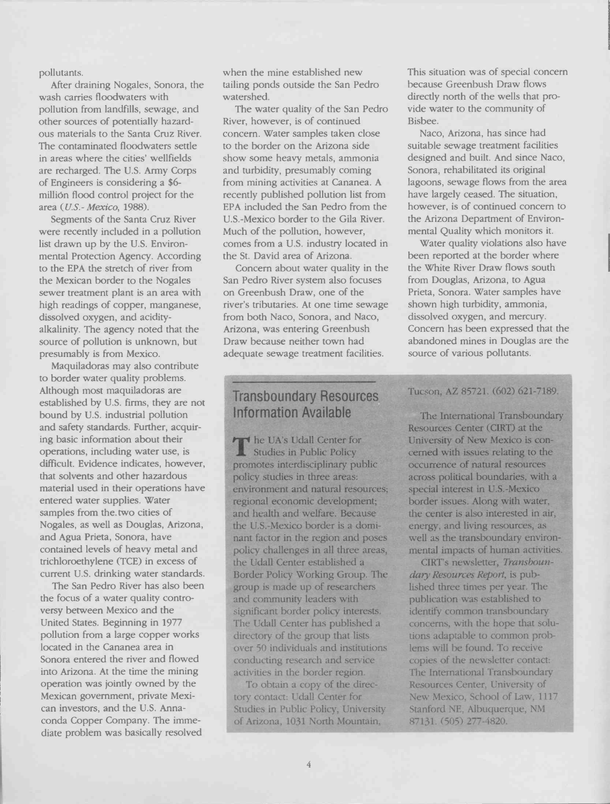pollutants.

After draining Nogales, Sonora, the wash carries floodwaters with pollution from landfills, sewage, and other sources of potentially hazardous materials to the Santa Cruz River. The contaminated floodwaters settle in areas where the cities' weilfields are recharged. The U.S. Army Corps of Engineers is considering a \$6 millión flood control project for the area (U.S.- Mexico, 1988).

Segments of the Santa Cruz River were recently included in a pollution list drawn up by the U.S. Environmental Protection Agency. According to the EPA the stretch of river from the Mexican border to the Nogales sewer treatment plant is an area with high readings of copper, manganese, dissolved oxygen, and acidityalkalinity. The agency noted that the source of pollution is unknown, but presumably is from Mexico.

Maquiladoras may also contribute to border water quality problems. Although most maquiladoras are established by U.S. firms, they are not bound by U.S. industrial pollution and safety standards. Further, acquiring basic information about their operations, including water use, is difficult. Evidence indicates, however, that solvents and other hazardous material used in their operations have entered water supplies. Water samples from the.two cities of Nogales, as well as Douglas, Arizona, and Agua Prieta, Sonora, have contained levels of heavy metal and trichloroethylene (TCE) in excess of current U.S. drinking water standards.

The San Pedro River has also been the focus of a water quality controversy between Mexico and the United States. Beginning in 1977 pollution from a large copper works located in the Cananea area in Sonora entered the river and flowed into Arizona. At the time the mining operation was jointly owned by the Mexican government, private Mexican investors, and the U.S. Annaconda Copper Company. The immediate problem was basically resolved

when the mine established new tailing ponds outside the San Pedro watershed.

The water quality of the San Pedro River, however, is of continued concern. Water samples taken close to the border on the Arizona side show some heavy metals, ammonia and turbidity, presumably coming from mining activities at Cananea. A recently published pollution list from EPA included the San Pedro from the U.S.-Mexico border to the Gila River. Much of the pollution, however, comes from a U.S. industry located in the St. David area of Arizona.

Concern about water quality in the San Pedro River system also focuses on Greenbush Draw, one of the river's tributaries. At one time sewage from both Naco, Sonora, and Naco, Arizona, was entering Greenbush Draw because neither town had adequate sewage treatment facilities.

#### Transboundary Resources Information Avaîlable

The UA's Udall Center for<br>
Studies in Public Policy promotes interdisciplinary public policy studies in three areas: environment and natural resources; regional economic development; and health and welfare. Because the U.S.-Mexico border is a dominant factor in the region and poses policy challenges in all three areas, the Udall Center established a Border Policy Working Group. The group is made up of researchers and community leaders with significant border policy interests. The Udall Center has published a directory of the group that lists over 50 individuals and institutions conducting research and service activities in the border region.

To obtain a copy of the directory contact: Udall Center for Studies in Public Policy, University of Arizona, 1031 North Mountain,

This situation was of special concern because Greenbush Draw flows directly north of the wells that provide water to the community of Bisbee.

Naco, Arizona, has since had suitable sewage treatment facilities designed and built. And since Naco, Sonora, rehabilitated its original lagoons, sewage flows from the area have largely ceased. The situation, however, is of continued concern to the Arizona Department of Environmental Quality which monitors it.

Water quality violations also have been reported at the border where the White River Draw flows south from Douglas, Arizona, to Agua Prieta, Sonora. Water samples have shown high turbidity, ammonia, dissolved oxygen, and mercury. Concern has been expressed that the abandoned mines in Douglas are the source of various pollutants.

#### Tucsôn, AZ 85721. (602) 621-7189.

The International Transboundary Resources Center (CIRT) at the University of New Mexico is concerned with issues relating to the occurrence of natural resources across political boundaries, with a special interest in U.S-Mexico border issues. Along with water, the center is also interested in air, energy. and living resources, as well as the transboundary environmental impacts of human activities.

CIRT's newsletter, Transboundary Resources Report, is published three times per year. The publication was established to identify common transboundary concerns, with the hope that solutions adaptable to common problems will be found. To receive copies of the newsletter contact: The International Transboundary Resources Center, University of New Mexico, School of Law, 1117 Stanford NE. Albuquerque, NM 87131. (505) 277-4820.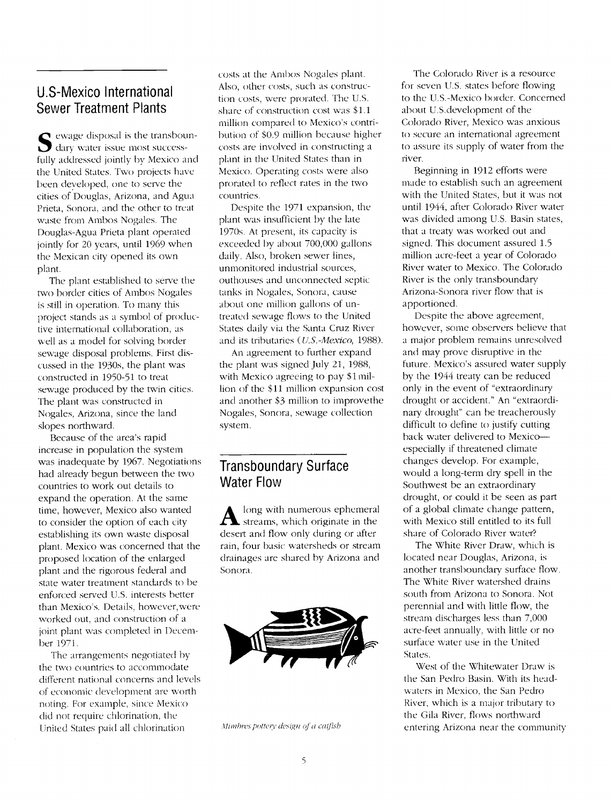# U.S-Mexico international Sewer Treatment Plants

 $\sum$  dary water issue mo disposal is the transboundary water issue most successfully addressed jointly by Mexico and the United States. Two projects have been developed, one to serve the cities of Douglas, Arizona, and Agua Prieta, Sonora, and the other to treat waste from Ambos Nogales. The Douglas-Agua Prieta plant operated jointly for 20 years, until 1969 when the Mexican city opened its own plant.

The plant established to serve the two border cities of Ambos Nogales is still in operation. To many this project stands as a symbol of productive international collaboration, as well as a model for solving border sewage disposal problems. First discussed in the 1930s, the plant was constructed in 1950-51 to treat sewage produced by the twin cities. The plant was constructed in Nogales, Arizona, since the land slopes northward.

Because of the area's rapid increase in population the system was inadequate by 1967. Negotiations had already begun between the two countries to work out details to expand the operation. At the same time, however, Mexico also wanted to consider the option of each city establishing its own waste disposal plant. Mexico was concerned that the proposed location of the enlarged plant and the rigorous federal and state water treatment standards to be enforced served U.S. interests better than Mexico's. Details, however, were worked out, and construction of a joint plant was completed in December 1971.

The arrangements negotiated by the two countries to accommodate different national concerns and levels of economic development are worth noting. For example, since Mexico did not require chlorination, the United States paid all chlorination

costs at the Ambos Nogales plant. Also, other costs, such as construction costs, were prorated. The U.S. share of construction cost was \$1.1 million compared to Mexico's contribution of \$0.9 million because higher costs are involved in constructing a plant in the United States than in Mexico. Operating costs were also prorated to reflect rates in the two countries.

Despite the 1971 expansion, the plant was insufficient by the late 1970s. At present, its capacity is exceeded by about 700,000 gallons daily. Also, broken sewer lines, unmonitored industrial sources, outhouses and unconnected septic tanks in Nogales, Sonora, cause about one million gallons of untreated sewage flows to the United States daily via the Santa Cruz River and its tributaries (*U.S.-Mexico*, 1988).

An agreement to further expand the plant was signed July 21, 1988, with Mexico agreeing to pay \$1 million of the \$11 million expansion cost and another \$3 million to improvethe Nogales, Sonora, sewage collection system.

#### Transboundary Surface Water Flow

A streams, which originate in the with long with numerous ephemeral desert and flow only during or after rain, four basic watersheds or stream drainages are shared by Arizona and Sonora.



Mimbres pottery design of a catfish

The Colorado River is a resource for seven U.S. states before flowing to the U.S-Mexico border. Concerned about U.S.development of the Colorado River, Mexico was anxious to secure an international agreement to assure its supply of water from the river.

Beginning in 1912 efforts were made to establish such an agreement with the United States, but it was not until 1944, after Colorado River water was divided among U.S. Basin states, that a treaty was worked out and signed. This document assured 1.5 million acre-feet a year of Colorado River water to Mexico. The Colorado River is the only transhoundary Arizona-Sonora river flow that is apportioned.

Despite the above agreement, however, some observers believe that a major problem remains unresolved and may prove disruptive in the future. Mexico's assured water supply by the 1944 treaty can be reduced only in the event of "extraordinary drought or accident." An "extraordinary drought" can he treacherously difficult to define to justify cutting hack water delivered to Mexico especially if threatened climate changes develop. For example, would a long-term dry spell in the Southwest be an extraordinary drought, or could it be seen as part of a global climate change pattern, with Mexico still entitled to its full share of Colorado River water?

The White River Draw, which is located near Douglas, Arizona, is another transboundarv surface flow. The White River watershed drains south from Arizona to Sonora. Not perennial and with little flow, the stream discharges less than 7,000 acre-feet annually, with little or no surface water use in the United States.

West of the Whitewater Draw is the San Pedro Basin. With its headwaters in Mexico, the San Pedro River, which is a major tributary to the Cilla River, flows northward entering Arizona near the community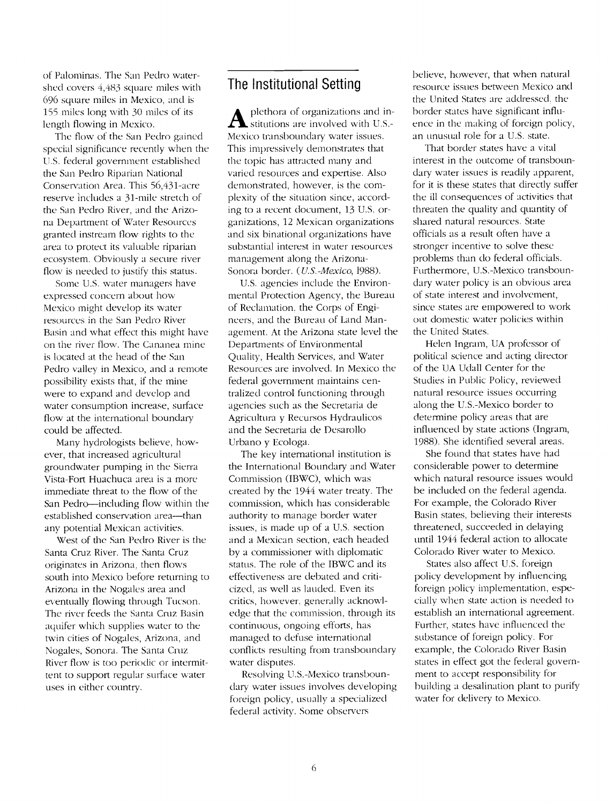of Palominas. The San Pedro watershed covers 4,483 square miles with 696 square miles in Mexico, and is 155 miles long with 30 miles of its length flowing in Mexico.

The flow of the San Pedro gained special significance recently when the U.S. federal government established the San Pedro Riparian National Conservation Area. This 56,431-acre reserve includes a 31-mile stretch of the San Pedro River, and the Arizona Department of Water Resources granted instream flow rights to the area to protect its valuable riparian ecosystem. Obviously a secure river flow is needed to justify this status.

Some U.S. water managers have expressed concern about how Mexico might develop its water resources in the San Pedro River Basin and what effect this might have on the river flow. The Cananea mine is located at the head of the San Pedro valley in Mexico, and a remote possibility exists that, if the mine were to expand and develop and water consumption increase, surface flow at the international boundary could be affected.

Many hydrologists believe, however, that increased agricultural groundwater pumping in the Sierra Vista-Fort Huachuca area is a more immediate threat to the flow of the San Pedro-including flow within the established conservation area-than any potential Mexican activities.

West of the San Pedro River is the Santa Cruz River. The Santa Cruz originates in Arizona, then flows south into Mexico before returning to Arizona in the Nogales area and eventually flowing through Tucson. The river feeds the Santa Cruz Basin aquifer which supplies water to the twin cities of Nogales, Arizona, and Nogales, Sonora. The Santa Cruz River flow is too periodic or intermittent to support regular surface water uses in either country.

# The Institutional Setting

 $\sum$  stitutions are involved with U.S.- en plethora of organizations and in-Mexico transboundary water issues. This impressively demonstrates that the topic has attracted many and varied resources and expertise. Also demonstrated, however, is the complexity of the situation since, according to a recent document, 13 U.S. organizations, 12 Mexican organizations and six binational organizations have substantial interest in water resources management along the Arizona-Sonora border. (*U.S.-Mexico*, 1988).

U.S. agencies include the Environmental Protection Agency, the Bureau of Reclamation, the Corps of Engineers, and the Bureau of Land Management. At the Arizona state level the Departments of Environmental Quality, Health Services, and Water Resources are involved. In Mexico the federal government maintains centralized control functioning through agencies such as the Secretaria de Agricultura y Recursos Hydraulicos and the Secretaria de Desarollo Urbano y Ecologa.

The key international institution is the International Boundary and Water Commission (IBWC), which was created by the 1944 water treaty. The commission, which has considerable authority to manage border water issues, is made up of a U.S. section and a Mexican section, each headed by a commissioner with diplomatic status. The role of the IBWC and its effectiveness are debated and criticized, as well as lauded. Even its critics, however, generally acknowledge that the commission, through its continuous, ongoing efforts, has managed to defuse international conflicts resulting from transboundary water disputes.

Resolving U.S-Mexico transboundary water issues involves developing foreign policy, usually a specialized federal activity. Some observers

believe, however, that when natural resource issues between Mexico and the United States are addressed, the border states have significant influence in the making of foreign policy, an unusual role for a U.S. state.

That border states have a vital interest in the outcome of transboundary water issues is readily apparent, for it is these states that directly suffer the ill consequences of activities that threaten the quality and quantity of shared natural resources. State officials as a result often have a stronger incentive to solve these problems than do federal officials. Furthermore, U.S-Mexico transboundary water policy is an obvious area of state interest and involvement, since states are empowered to work out domestic water policies within the United States.

Helen Ingram, UA professor of political science and acting director of the UA Udall Center for the Studies in Public Policy, reviewed natural resource issues occurring along the U.S.-Mexico border to determine policy areas that are influenced by state actions (Ingram, 1988). She identified several areas.

She found that states have had considerable power to determine which natural resource issues would be included on the federal agenda. For example, the Colorado River Basin states, believing their interests threatened, succeeded in delaying until 1944 federal action to allocate Colorado River water to Mexico.

States also affect U.S. foreign policy development by influencing foreign policy implementation, especially when state action is needed to establish an international agreement. Further, states have influenced the substance of foreign policy. For example, the Colorado River Basin states in effect got the federal government to accept responsibility for building a desalination plant to purify water for delivery to Mexico.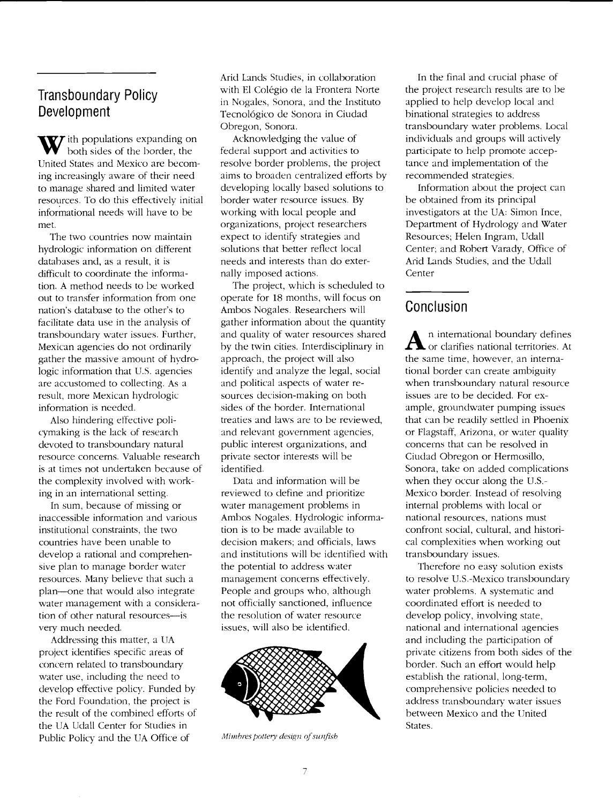# Transboundary Policy Development

W ith populations expanding on both sides of the border, the United States and Mexico are becoming increasingly aware of their need to manage shared and limited water resources. To do this effectively initial informational needs will have to be met.

The two countries now maintain hydrologic information on different databases and, as a result, it is difficult to coordinate the information. A method needs to be worked out to transfer information from one nation's database to the other's to facilitate data use in the analysis of transhoundary water issues. Further, Mexican agencies do not ordinarily gather the massive amount of hydrologic information that U.S. agencies are accustomed to collecting. As a result, more Mexican hydrologic information is needed.

Also hindering effective policymaking is the lack of research devoted to transboundary natural resource concerns. Valuable research is at times not undertaken because of the complexity involved with working in an international setting.

In sum, because of missing or inaccessible information and various institutional constraints, the two countries have been unable to develop a rational and comprehensive plan to manage border water resources. Many believe that such a plan—one that would also integrate water management with a consideration of other natural resources--is very much needed.

Addressing this matter, a UA project identifies specific areas of concern related to transhoundary water use, including the need to develop effective policy. Funded by the Ford Foundation, the project is the result of the combined efforts of the UA Udall Center for Studies in Public Policy and the UA Office of

Arid Lands Studies, in collaboration with El Colégio de la Frontera Norte in Nogales, Sonora, and the Instituto Tecnológico de Sonora in Ciudad Obregon, Sonora.

Acknowledging the value of federal support and activities to resolve border problems, the project aims to broaden centralized efforts by developing locally based solutions to border water resource issues. By working with local people and organizations, project researchers expect to identify strategies and solutions that better reflect local needs and interests than do externally imposed actions.

The project, which is scheduled to operate for 18 months, will focus on Ambos Nogales. Researchers will gather information about the quantity by the twin cities, Interdisciplinary in approach, the project will also identify and analyze the legal, social and political aspects of water resources decision-making on both sides of the border. International treaties and laws are to be reviewed, and relevant government agencies, public interest organizations, and private sector interests will he identified.

Data and information will be reviewed to define and prioritize water management problems in Ambos Nogales. Hydrologic information is to be made available to decision makers; and officials, laws and institutions will be identified with the potential to address water management concerns effectively. People and groups who, although not officially sanctioned, influence the resolution of water resource issues, will also be identified.



Mimbres pottery design of sunfish

In the final and crucial phase of the project research results are to be applied to help develop local and binational strategies to address transboundary water problems. Local individuals and groups will actively participate to help promote acceptance and implementation of the recommended strategies.

Information about the project can be obtained from its principal investigators at the UA: Simon Ince, Department of Hydrology and Water Resources; Helen Ingram, Udall Center; and Robert Varady, Office of Arid Lands Studies, and the Udall Center

#### Conclusion

and quality of water resources shared **A** n international boundary defines **A** n international boundary defines<br>or clarifies national territories. At the same time, however, an international border can create ambiguity when transboundary natural resource issues are to be decided. For example, groundwater pumping issues that can he readily settled in Phoenix or Flagstaff, Arizona, or water quality concerns that can he resolved in Ciudad Obregon or Hermosillo, Sonora, take on added complications when they occur along the U.S.- Mexico border. Instead of resolving internal problems with local or national resources, nations must confront social, cultural, and historical complexities when working out transhoundary issues.

> Therefore no easy solution exists to resolve U.S.-Mexico transhoundary water problems. A systematic and coordinated effort is needed to develop policy, involving state, national and international agencies and including the participation of private citizens from both sides of the border. Such an effort would help establish the rational, long-term, comprehensive policies needed to address transhoundary water issues between Mexico and the United States.